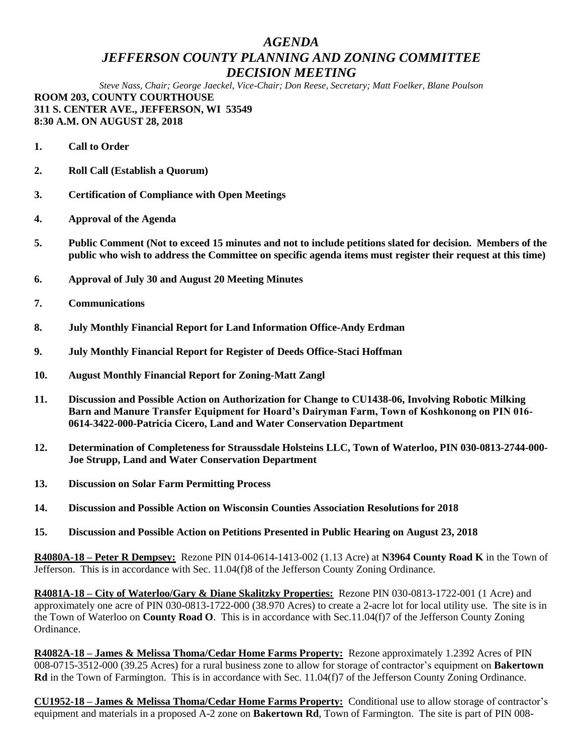## *AGENDA JEFFERSON COUNTY PLANNING AND ZONING COMMITTEE DECISION MEETING*

*Steve Nass, Chair; George Jaeckel, Vice-Chair; Don Reese, Secretary; Matt Foelker, Blane Poulson* **ROOM 203, COUNTY COURTHOUSE 311 S. CENTER AVE., JEFFERSON, WI 53549 8:30 A.M. ON AUGUST 28, 2018**

**1. Call to Order**

- **2. Roll Call (Establish a Quorum)**
- **3. Certification of Compliance with Open Meetings**
- **4. Approval of the Agenda**
- **5. Public Comment (Not to exceed 15 minutes and not to include petitions slated for decision. Members of the public who wish to address the Committee on specific agenda items must register their request at this time)**
- **6. Approval of July 30 and August 20 Meeting Minutes**
- **7. Communications**
- **8. July Monthly Financial Report for Land Information Office-Andy Erdman**
- **9. July Monthly Financial Report for Register of Deeds Office-Staci Hoffman**
- **10. August Monthly Financial Report for Zoning-Matt Zangl**
- **11. Discussion and Possible Action on Authorization for Change to CU1438-06, Involving Robotic Milking Barn and Manure Transfer Equipment for Hoard's Dairyman Farm, Town of Koshkonong on PIN 016- 0614-3422-000-Patricia Cicero, Land and Water Conservation Department**
- **12. Determination of Completeness for Straussdale Holsteins LLC, Town of Waterloo, PIN 030-0813-2744-000- Joe Strupp, Land and Water Conservation Department**
- **13. Discussion on Solar Farm Permitting Process**
- **14. Discussion and Possible Action on Wisconsin Counties Association Resolutions for 2018**
- **15. Discussion and Possible Action on Petitions Presented in Public Hearing on August 23, 2018**

**R4080A-18 – Peter R Dempsey:** Rezone PIN 014-0614-1413-002 (1.13 Acre) at **N3964 County Road K** in the Town of Jefferson. This is in accordance with Sec. 11.04(f)8 of the Jefferson County Zoning Ordinance.

**R4081A-18 – City of Waterloo/Gary & Diane Skalitzky Properties:** Rezone PIN 030-0813-1722-001 (1 Acre) and approximately one acre of PIN 030-0813-1722-000 (38.970 Acres) to create a 2-acre lot for local utility use. The site is in the Town of Waterloo on **County Road O**. This is in accordance with Sec.11.04(f)7 of the Jefferson County Zoning Ordinance.

**R4082A-18 – James & Melissa Thoma/Cedar Home Farms Property:** Rezone approximately 1.2392 Acres of PIN 008-0715-3512-000 (39.25 Acres) for a rural business zone to allow for storage of contractor's equipment on **Bakertown Rd** in the Town of Farmington. This is in accordance with Sec. 11.04(f)7 of the Jefferson County Zoning Ordinance.

**CU1952-18 – James & Melissa Thoma/Cedar Home Farms Property:** Conditional use to allow storage of contractor's equipment and materials in a proposed A-2 zone on **Bakertown Rd**, Town of Farmington. The site is part of PIN 008